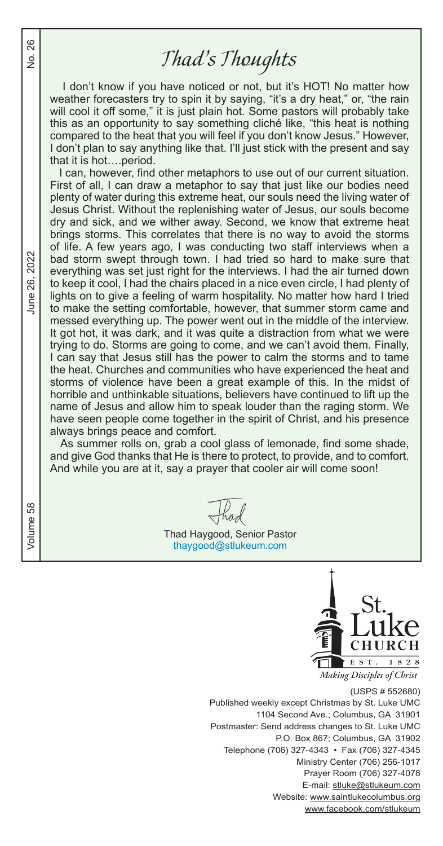### *Thad's Thoughts*

I don't know if you have noticed or not, but it's HOT! No matter how weather forecasters try to spin it by saying, "it's a dry heat," or, "the rain will cool it off some," it is just plain hot. Some pastors will probably take this as an opportunity to say something cliché like, "this heat is nothing compared to the heat that you will feel if you don't know Jesus." However, I don't plan to say anything like that. I'll just stick with the present and say that it is hot….period.

 I can, however, find other metaphors to use out of our current situation. First of all, I can draw a metaphor to say that just like our bodies need plenty of water during this extreme heat, our souls need the living water of Jesus Christ. Without the replenishing water of Jesus, our souls become dry and sick, and we wither away. Second, we know that extreme heat brings storms. This correlates that there is no way to avoid the storms of life. A few years ago, I was conducting two staff interviews when a bad storm swept through town. I had tried so hard to make sure that everything was set just right for the interviews. I had the air turned down to keep it cool, I had the chairs placed in a nice even circle, I had plenty of lights on to give a feeling of warm hospitality. No matter how hard I tried to make the setting comfortable, however, that summer storm came and messed everything up. The power went out in the middle of the interview. It got hot, it was dark, and it was quite a distraction from what we were trying to do. Storms are going to come, and we can't avoid them. Finally, I can say that Jesus still has the power to calm the storms and to tame the heat. Churches and communities who have experienced the heat and storms of violence have been a great example of this. In the midst of horrible and unthinkable situations, believers have continued to lift up the name of Jesus and allow him to speak louder than the raging storm. We have seen people come together in the spirit of Christ, and his presence always brings peace and comfort.

 As summer rolls on, grab a cool glass of lemonade, find some shade, and give God thanks that He is there to protect, to provide, and to comfort. And while you are at it, say a prayer that cooler air will come soon!

Thad Haygood, Senior Pastor thaygood@stlukeum.com



(USPS # 552680) Published weekly except Christmas by St. Luke UMC 1104 Second Ave.; Columbus, GA 31901 Postmaster: Send address changes to St. Luke UMC P.O. Box 867; Columbus, GA 31902 Telephone (706) 327-4343 • Fax (706) 327-4345 Ministry Center (706) 256-1017 Prayer Room (706) 327-4078 E-mail: stluke@stlukeum.com Website: www.saintlukecolumbus.org www.facebook.com/stlukeum

June 26, 2022

26  $\frac{1}{2}$ 

Volume 58  $V$ အိ Volume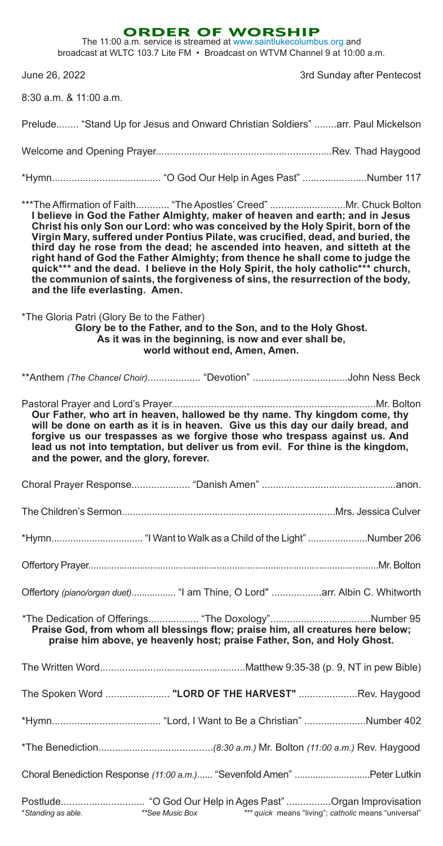|                                                                                                                                                                                                                                                                                                                                                                                                                                                                                                                                                                                                                                                                                                        |                 | <b>ORDER OF WORSHIP</b><br>The 11:00 a.m. service is streamed at www.saintlukecolumbus.org and<br>broadcast at WLTC 103.7 Lite FM • Broadcast on WTVM Channel 9 at 10:00 a.m. |                                                      |
|--------------------------------------------------------------------------------------------------------------------------------------------------------------------------------------------------------------------------------------------------------------------------------------------------------------------------------------------------------------------------------------------------------------------------------------------------------------------------------------------------------------------------------------------------------------------------------------------------------------------------------------------------------------------------------------------------------|-----------------|-------------------------------------------------------------------------------------------------------------------------------------------------------------------------------|------------------------------------------------------|
| June 26, 2022                                                                                                                                                                                                                                                                                                                                                                                                                                                                                                                                                                                                                                                                                          |                 |                                                                                                                                                                               | 3rd Sunday after Pentecost                           |
| 8:30 a.m. & 11:00 a.m.                                                                                                                                                                                                                                                                                                                                                                                                                                                                                                                                                                                                                                                                                 |                 |                                                                                                                                                                               |                                                      |
| Prelude "Stand Up for Jesus and Onward Christian Soldiers" arr. Paul Mickelson                                                                                                                                                                                                                                                                                                                                                                                                                                                                                                                                                                                                                         |                 |                                                                                                                                                                               |                                                      |
|                                                                                                                                                                                                                                                                                                                                                                                                                                                                                                                                                                                                                                                                                                        |                 |                                                                                                                                                                               |                                                      |
|                                                                                                                                                                                                                                                                                                                                                                                                                                                                                                                                                                                                                                                                                                        |                 |                                                                                                                                                                               |                                                      |
| ***The Affirmation of Faith "The Apostles' Creed" Mr. Chuck Bolton<br>I believe in God the Father Almighty, maker of heaven and earth; and in Jesus<br>Christ his only Son our Lord: who was conceived by the Holy Spirit, born of the<br>Virgin Mary, suffered under Pontius Pilate, was crucified, dead, and buried, the<br>third day he rose from the dead; he ascended into heaven, and sitteth at the<br>right hand of God the Father Almighty; from thence he shall come to judge the<br>quick*** and the dead. I believe in the Holy Spirit, the holy catholic*** church,<br>the communion of saints, the forgiveness of sins, the resurrection of the body,<br>and the life everlasting. Amen. |                 |                                                                                                                                                                               |                                                      |
| *The Gloria Patri (Glory Be to the Father)                                                                                                                                                                                                                                                                                                                                                                                                                                                                                                                                                                                                                                                             |                 | Glory be to the Father, and to the Son, and to the Holy Ghost.<br>As it was in the beginning, is now and ever shall be,<br>world without end, Amen, Amen.                     |                                                      |
| **Anthem (The Chancel Choir) "Devotion" John Ness Beck                                                                                                                                                                                                                                                                                                                                                                                                                                                                                                                                                                                                                                                 |                 |                                                                                                                                                                               |                                                      |
| Our Father, who art in heaven, hallowed be thy name. Thy kingdom come, thy<br>will be done on earth as it is in heaven. Give us this day our daily bread, and<br>forgive us our trespasses as we forgive those who trespass against us. And<br>lead us not into temptation, but deliver us from evil. For thine is the kingdom,<br>and the power, and the glory, forever.                                                                                                                                                                                                                                                                                                                              |                 |                                                                                                                                                                               |                                                      |
|                                                                                                                                                                                                                                                                                                                                                                                                                                                                                                                                                                                                                                                                                                        |                 |                                                                                                                                                                               |                                                      |
|                                                                                                                                                                                                                                                                                                                                                                                                                                                                                                                                                                                                                                                                                                        |                 |                                                                                                                                                                               |                                                      |
|                                                                                                                                                                                                                                                                                                                                                                                                                                                                                                                                                                                                                                                                                                        |                 |                                                                                                                                                                               |                                                      |
|                                                                                                                                                                                                                                                                                                                                                                                                                                                                                                                                                                                                                                                                                                        |                 |                                                                                                                                                                               |                                                      |
| Offertory (piano/organ duet) "I am Thine, O Lord" arr. Albin C. Whitworth                                                                                                                                                                                                                                                                                                                                                                                                                                                                                                                                                                                                                              |                 |                                                                                                                                                                               |                                                      |
| Praise God, from whom all blessings flow; praise him, all creatures here below;                                                                                                                                                                                                                                                                                                                                                                                                                                                                                                                                                                                                                        |                 | praise him above, ye heavenly host; praise Father, Son, and Holy Ghost.                                                                                                       |                                                      |
|                                                                                                                                                                                                                                                                                                                                                                                                                                                                                                                                                                                                                                                                                                        |                 |                                                                                                                                                                               |                                                      |
| The Spoken Word  "LORD OF THE HARVEST" Rev. Haygood                                                                                                                                                                                                                                                                                                                                                                                                                                                                                                                                                                                                                                                    |                 |                                                                                                                                                                               |                                                      |
|                                                                                                                                                                                                                                                                                                                                                                                                                                                                                                                                                                                                                                                                                                        |                 |                                                                                                                                                                               |                                                      |
|                                                                                                                                                                                                                                                                                                                                                                                                                                                                                                                                                                                                                                                                                                        |                 |                                                                                                                                                                               |                                                      |
| Choral Benediction Response (11:00 a.m.) "Sevenfold Amen" Peter Lutkin                                                                                                                                                                                                                                                                                                                                                                                                                                                                                                                                                                                                                                 |                 |                                                                                                                                                                               |                                                      |
| *Standing as able.                                                                                                                                                                                                                                                                                                                                                                                                                                                                                                                                                                                                                                                                                     | **See Music Box |                                                                                                                                                                               | *** quick means "living"; catholic means "universal" |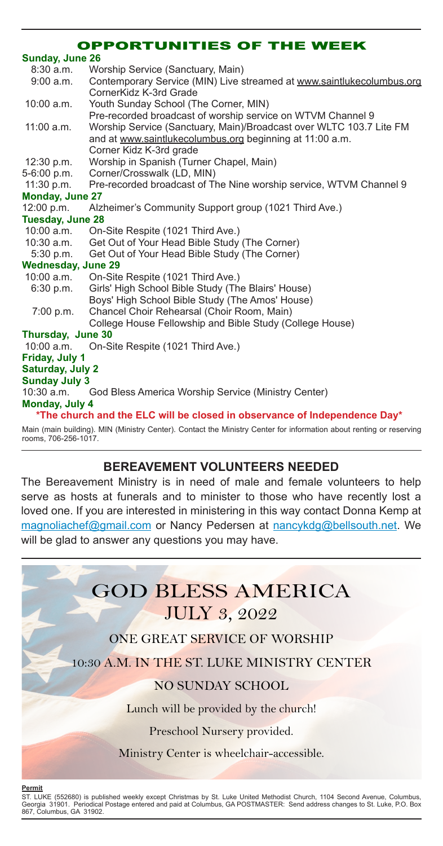#### OPPORTUNITIES OF THE WEEK

| <b>Sunday, June 26</b> |  |
|------------------------|--|
|------------------------|--|

| $8:30$ a.m.               | Worship Service (Sanctuary, Main)                                                                                   |
|---------------------------|---------------------------------------------------------------------------------------------------------------------|
| 9:00 a.m.                 | Contemporary Service (MIN) Live streamed at www.saintlukecolumbus.org<br>CornerKidz K-3rd Grade                     |
| $10:00$ a.m.              | Youth Sunday School (The Corner, MIN)                                                                               |
|                           | Pre-recorded broadcast of worship service on WTVM Channel 9                                                         |
| 11:00 a.m.                | Worship Service (Sanctuary, Main)/Broadcast over WLTC 103.7 Lite FM                                                 |
|                           | and at www.saintlukecolumbus.org beginning at 11:00 a.m.                                                            |
|                           | Corner Kidz K-3rd grade                                                                                             |
| 12:30 p.m.                | Worship in Spanish (Turner Chapel, Main)                                                                            |
| 5-6:00 p.m.               | Corner/Crosswalk (LD, MIN)                                                                                          |
| 11:30 p.m.                | Pre-recorded broadcast of The Nine worship service, WTVM Channel 9                                                  |
| <b>Monday, June 27</b>    |                                                                                                                     |
| 12:00 p.m.                | Alzheimer's Community Support group (1021 Third Ave.)                                                               |
| <b>Tuesday, June 28</b>   |                                                                                                                     |
| $10:00$ a.m.              | On-Site Respite (1021 Third Ave.)                                                                                   |
| $10:30$ a.m.              | Get Out of Your Head Bible Study (The Corner)                                                                       |
| 5:30 p.m.                 | Get Out of Your Head Bible Study (The Corner)                                                                       |
| <b>Wednesday, June 29</b> |                                                                                                                     |
| $10:00$ a.m.              | On-Site Respite (1021 Third Ave.)                                                                                   |
| 6:30 p.m.                 | Girls' High School Bible Study (The Blairs' House)                                                                  |
|                           | Boys' High School Bible Study (The Amos' House)                                                                     |
| 7:00 p.m.                 | Chancel Choir Rehearsal (Choir Room, Main)                                                                          |
|                           | College House Fellowship and Bible Study (College House)                                                            |
| Thursday, June 30         |                                                                                                                     |
| 10:00 a.m.                | On-Site Respite (1021 Third Ave.)                                                                                   |
| Friday, July 1            |                                                                                                                     |
| <b>Saturday, July 2</b>   |                                                                                                                     |
| <b>Sunday July 3</b>      |                                                                                                                     |
| $10:30$ a.m.              | God Bless America Worship Service (Ministry Center)                                                                 |
| Monday, July 4            |                                                                                                                     |
|                           | *The church and the ELC will be closed in observance of Independence Day*                                           |
|                           | Main (main building). MIN (Ministry Center). Contact the Ministry Center for information about renting or reserving |

Main (main building). MIN (Ministry Center). Contact the Ministry Center for information about renting or reserving rooms, 706-256-1017.

### **BEREAVEMENT VOLUNTEERS NEEDED**

The Bereavement Ministry is in need of male and female volunteers to help serve as hosts at funerals and to minister to those who have recently lost a loved one. If you are interested in ministering in this way contact Donna Kemp at magnoliachef@gmail.com or Nancy Pedersen at nancykdg@bellsouth.net. We will be glad to answer any questions you may have.



ST. LUKE (552680) is published weekly except Christmas by St. Luke United Methodist Church, 1104 Second Avenue, Columbus,<br>Georgia 31901. Periodical Postage entered and paid at Columbus, GA POSTMASTER: Send address change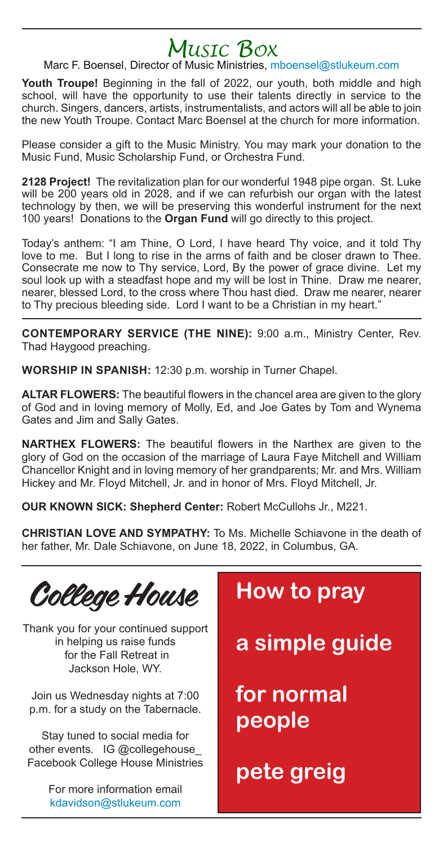# *Music Box*

#### Marc F. Boensel, Director of Music Ministries, mboensel@stlukeum.com

**Youth Troupe!** Beginning in the fall of 2022, our youth, both middle and high school, will have the opportunity to use their talents directly in service to the church. Singers, dancers, artists, instrumentalists, and actors will all be able to join the new Youth Troupe. Contact Marc Boensel at the church for more information.

Please consider a gift to the Music Ministry. You may mark your donation to the Music Fund, Music Scholarship Fund, or Orchestra Fund.

**2128 Project!** The revitalization plan for our wonderful 1948 pipe organ. St. Luke will be 200 years old in 2028, and if we can refurbish our organ with the latest technology by then, we will be preserving this wonderful instrument for the next 100 years! Donations to the **Organ Fund** will go directly to this project.

Today's anthem: "I am Thine, O Lord, I have heard Thy voice, and it told Thy love to me. But I long to rise in the arms of faith and be closer drawn to Thee. Consecrate me now to Thy service, Lord, By the power of grace divine. Let my soul look up with a steadfast hope and my will be lost in Thine. Draw me nearer, nearer, blessed Lord, to the cross where Thou hast died. Draw me nearer, nearer to Thy precious bleeding side. Lord I want to be a Christian in my heart."

**CONTEMPORARY SERVICE (THE NINE):** 9:00 a.m., Ministry Center, Rev. Thad Haygood preaching.

**WORSHIP IN SPANISH:** 12:30 p.m. worship in Turner Chapel.

**ALTAR FLOWERS:** The beautiful flowers in the chancel area are given to the glory of God and in loving memory of Molly, Ed, and Joe Gates by Tom and Wynema Gates and Jim and Sally Gates.

**NARTHEX FLOWERS:** The beautiful flowers in the Narthex are given to the glory of God on the occasion of the marriage of Laura Faye Mitchell and William Chancellor Knight and in loving memory of her grandparents; Mr. and Mrs. William Hickey and Mr. Floyd Mitchell, Jr. and in honor of Mrs. Floyd Mitchell, Jr.

**OUR KNOWN SICK: Shepherd Center:** Robert McCullohs Jr., M221.

**CHRISTIAN LOVE AND SYMPATHY:** To Ms. Michelle Schiavone in the death of her father, Mr. Dale Schiavone, on June 18, 2022, in Columbus, GA.

College House

Thank you for your continued support in helping us raise funds for the Fall Retreat in Jackson Hole, WY.

Join us Wednesday nights at 7:00 p.m. for a study on the Tabernacle.

Stay tuned to social media for other events. IG @collegehouse Facebook College House Ministries

> For more information email kdavidson@stlukeum.com

## **How to pray**

**a simple guide**

**for normal people**

**pete greig**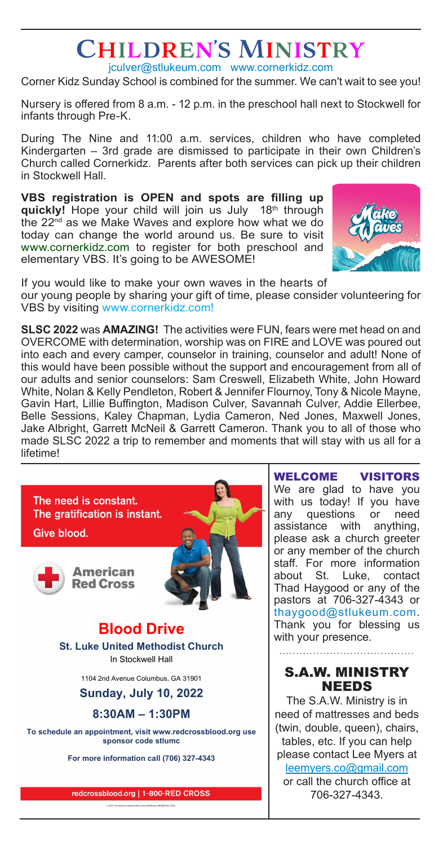# Children's Ministry

jculver@stlukeum.com www.cornerkidz.com Corner Kidz Sunday School is combined for the summer. We can't wait to see you!

Nursery is offered from 8 a.m. - 12 p.m. in the preschool hall next to Stockwell for infants through Pre-K.

During The Nine and 11:00 a.m. services, children who have completed Kindergarten – 3rd grade are dismissed to participate in their own Children's Church called Cornerkidz. Parents after both services can pick up their children in Stockwell Hall.

**VBS registration is OPEN and spots are filling up quickly!** Hope your child will join us July 18th through the 22<sup>nd</sup> as we Make Waves and explore how what we do today can change the world around us. Be sure to visit www.cornerkidz.com to register for both preschool and elementary VBS. It's going to be AWESOME!



If you would like to make your own waves in the hearts of our young people by sharing your gift of time, please consider volunteering for VBS by visiting www.cornerkidz.com!

**SLSC 2022** was **AMAZING!** The activities were FUN, fears were met head on and OVERCOME with determination, worship was on FIRE and LOVE was poured out into each and every camper, counselor in training, counselor and adult! None of this would have been possible without the support and encouragement from all of our adults and senior counselors: Sam Creswell, Elizabeth White, John Howard White, Nolan & Kelly Pendleton, Robert & Jennifer Flournoy, Tony & Nicole Mayne, Gavin Hart, Lillie Buffington, Madison Culver, Savannah Culver, Addie Ellerbee, Belle Sessions, Kaley Chapman, Lydia Cameron, Ned Jones, Maxwell Jones, Jake Albright, Garrett McNeil & Garrett Cameron. Thank you to all of those who made SLSC 2022 a trip to remember and moments that will stay with us all for a lifetime!